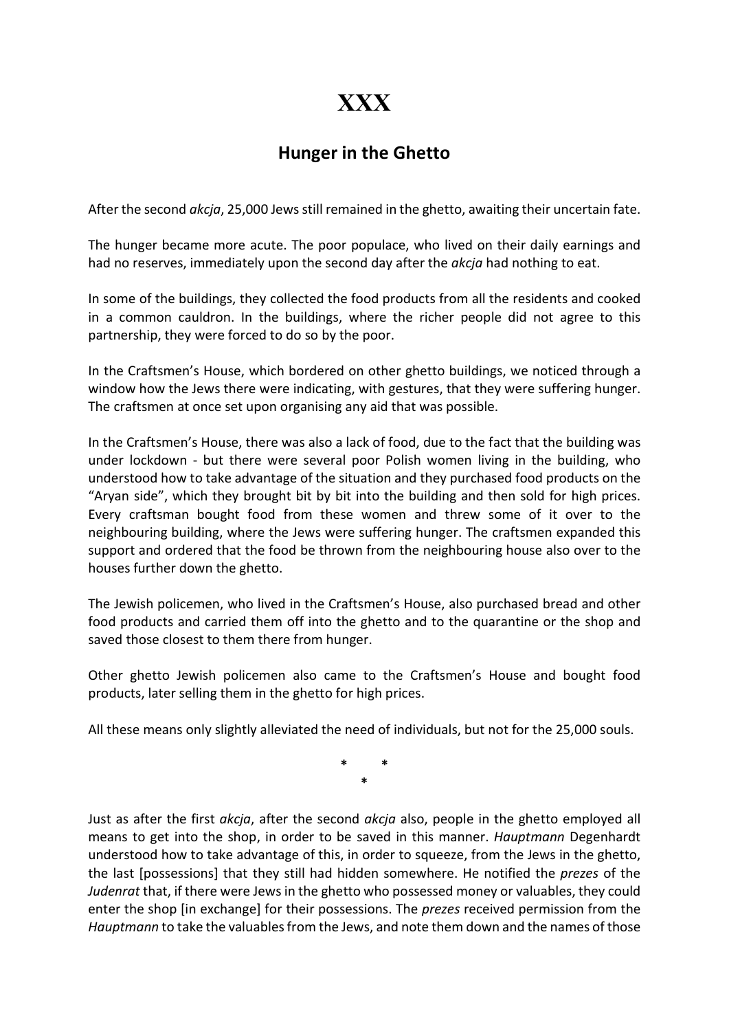## XXX

## Hunger in the Ghetto

After the second akcja, 25,000 Jews still remained in the ghetto, awaiting their uncertain fate.

The hunger became more acute. The poor populace, who lived on their daily earnings and had no reserves, immediately upon the second day after the *akcja* had nothing to eat.

In some of the buildings, they collected the food products from all the residents and cooked in a common cauldron. In the buildings, where the richer people did not agree to this partnership, they were forced to do so by the poor.

In the Craftsmen's House, which bordered on other ghetto buildings, we noticed through a window how the Jews there were indicating, with gestures, that they were suffering hunger. The craftsmen at once set upon organising any aid that was possible.

In the Craftsmen's House, there was also a lack of food, due to the fact that the building was under lockdown - but there were several poor Polish women living in the building, who understood how to take advantage of the situation and they purchased food products on the "Aryan side", which they brought bit by bit into the building and then sold for high prices. Every craftsman bought food from these women and threw some of it over to the neighbouring building, where the Jews were suffering hunger. The craftsmen expanded this support and ordered that the food be thrown from the neighbouring house also over to the houses further down the ghetto.

The Jewish policemen, who lived in the Craftsmen's House, also purchased bread and other food products and carried them off into the ghetto and to the quarantine or the shop and saved those closest to them there from hunger.

Other ghetto Jewish policemen also came to the Craftsmen's House and bought food products, later selling them in the ghetto for high prices.

All these means only slightly alleviated the need of individuals, but not for the 25,000 souls.

\* \* \*

Just as after the first akcja, after the second akcja also, people in the ghetto employed all means to get into the shop, in order to be saved in this manner. Hauptmann Degenhardt understood how to take advantage of this, in order to squeeze, from the Jews in the ghetto, the last [possessions] that they still had hidden somewhere. He notified the prezes of the Judenrat that, if there were Jews in the ghetto who possessed money or valuables, they could enter the shop [in exchange] for their possessions. The *prezes* received permission from the Hauptmann to take the valuables from the Jews, and note them down and the names of those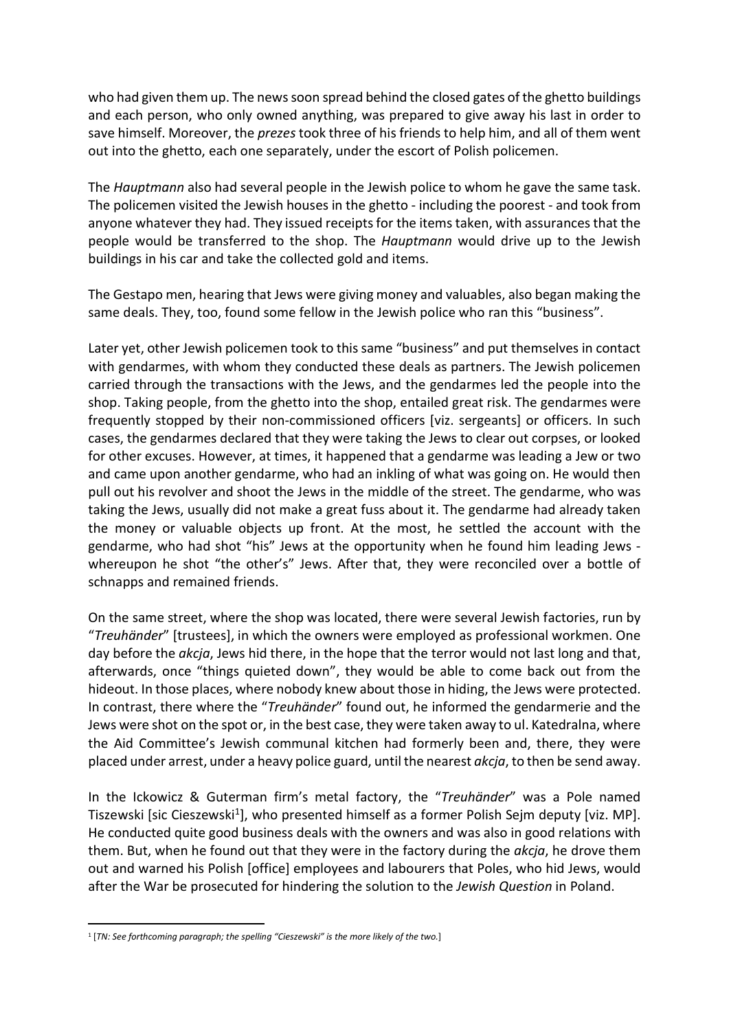who had given them up. The news soon spread behind the closed gates of the ghetto buildings and each person, who only owned anything, was prepared to give away his last in order to save himself. Moreover, the *prezes* took three of his friends to help him, and all of them went out into the ghetto, each one separately, under the escort of Polish policemen.

The *Hauptmann* also had several people in the Jewish police to whom he gave the same task. The policemen visited the Jewish houses in the ghetto - including the poorest - and took from anyone whatever they had. They issued receipts for the items taken, with assurances that the people would be transferred to the shop. The Hauptmann would drive up to the Jewish buildings in his car and take the collected gold and items.

The Gestapo men, hearing that Jews were giving money and valuables, also began making the same deals. They, too, found some fellow in the Jewish police who ran this "business".

Later yet, other Jewish policemen took to this same "business" and put themselves in contact with gendarmes, with whom they conducted these deals as partners. The Jewish policemen carried through the transactions with the Jews, and the gendarmes led the people into the shop. Taking people, from the ghetto into the shop, entailed great risk. The gendarmes were frequently stopped by their non-commissioned officers [viz. sergeants] or officers. In such cases, the gendarmes declared that they were taking the Jews to clear out corpses, or looked for other excuses. However, at times, it happened that a gendarme was leading a Jew or two and came upon another gendarme, who had an inkling of what was going on. He would then pull out his revolver and shoot the Jews in the middle of the street. The gendarme, who was taking the Jews, usually did not make a great fuss about it. The gendarme had already taken the money or valuable objects up front. At the most, he settled the account with the gendarme, who had shot "his" Jews at the opportunity when he found him leading Jews whereupon he shot "the other's" Jews. After that, they were reconciled over a bottle of schnapps and remained friends.

On the same street, where the shop was located, there were several Jewish factories, run by "Treuhänder" [trustees], in which the owners were employed as professional workmen. One day before the akcja, Jews hid there, in the hope that the terror would not last long and that, afterwards, once "things quieted down", they would be able to come back out from the hideout. In those places, where nobody knew about those in hiding, the Jews were protected. In contrast, there where the "*Treuhänder*" found out, he informed the gendarmerie and the Jews were shot on the spot or, in the best case, they were taken away to ul. Katedralna, where the Aid Committee's Jewish communal kitchen had formerly been and, there, they were placed under arrest, under a heavy police guard, until the nearest *akcja*, to then be send away.

In the Ickowicz & Guterman firm's metal factory, the "Treuhänder" was a Pole named Tiszewski [sic Cieszewski<sup>1</sup>], who presented himself as a former Polish Sejm deputy [viz. MP]. He conducted quite good business deals with the owners and was also in good relations with them. But, when he found out that they were in the factory during the *akcja*, he drove them out and warned his Polish [office] employees and labourers that Poles, who hid Jews, would after the War be prosecuted for hindering the solution to the Jewish Question in Poland.

<sup>&</sup>lt;sup>1</sup> [TN: See forthcoming paragraph; the spelling "Cieszewski" is the more likely of the two.]